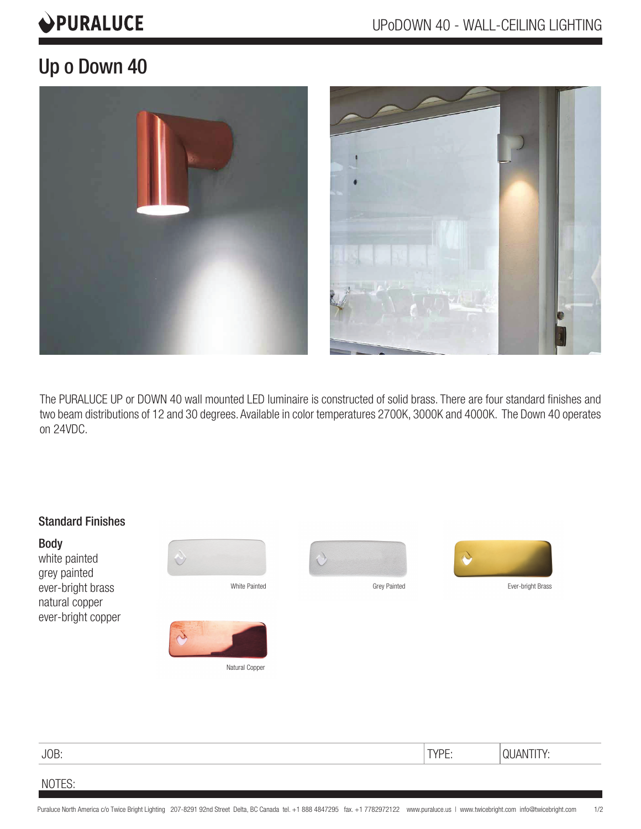# **OPURALUCE**

# Up o Down 40



The PURALUCE UP or DOWN 40 wall mounted LED luminaire is constructed of solid brass. There are four standard finishes and two beam distributions of 12 and 30 degrees. Available in color temperatures 2700K, 3000K and 4000K. The Down 40 operates on 24VDC.



# JOB: TYPE: QUANTITY:

## NOTES: